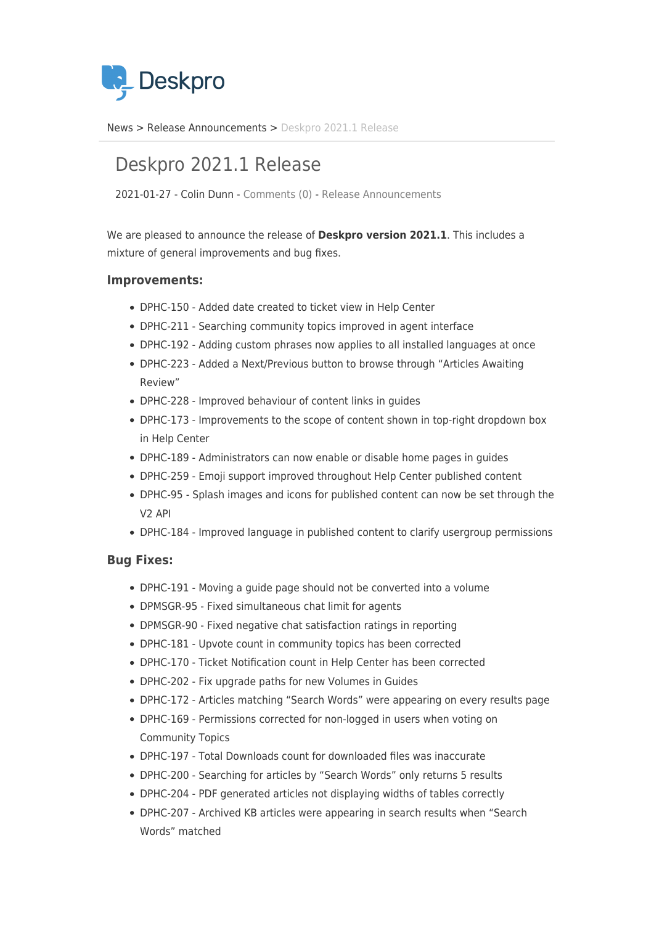

[News](https://support.deskpro.com/hu/news) > [Release Announcements](https://support.deskpro.com/hu/news/release-announcements) > [Deskpro 2021.1 Release](https://support.deskpro.com/hu/news/posts/deskpro-2021-1-release)

## Deskpro 2021.1 Release

2021-01-27 - Colin Dunn - [Comments \(0\)](#page--1-0) - [Release Announcements](https://support.deskpro.com/hu/news/release-announcements)

We are pleased to announce the release of **Deskpro version 2021.1**. This includes a mixture of general improvements and bug fixes.

## **Improvements:**

- DPHC-150 Added date created to ticket view in Help Center
- DPHC-211 Searching community topics improved in agent interface
- DPHC-192 Adding custom phrases now applies to all installed languages at once
- DPHC-223 Added a Next/Previous button to browse through "Articles Awaiting Review"
- DPHC-228 Improved behaviour of content links in guides
- DPHC-173 Improvements to the scope of content shown in top-right dropdown box in Help Center
- DPHC-189 Administrators can now enable or disable home pages in guides
- DPHC-259 Emoji support improved throughout Help Center published content
- DPHC-95 Splash images and icons for published content can now be set through the V2 API
- DPHC-184 Improved language in published content to clarify usergroup permissions

## **Bug Fixes:**

- DPHC-191 Moving a guide page should not be converted into a volume
- DPMSGR-95 Fixed simultaneous chat limit for agents
- DPMSGR-90 Fixed negative chat satisfaction ratings in reporting
- DPHC-181 Upvote count in community topics has been corrected
- DPHC-170 Ticket Notification count in Help Center has been corrected
- DPHC-202 Fix upgrade paths for new Volumes in Guides
- DPHC-172 Articles matching "Search Words" were appearing on every results page
- DPHC-169 Permissions corrected for non-logged in users when voting on Community Topics
- DPHC-197 Total Downloads count for downloaded files was inaccurate
- DPHC-200 Searching for articles by "Search Words" only returns 5 results
- DPHC-204 PDF generated articles not displaying widths of tables correctly
- DPHC-207 Archived KB articles were appearing in search results when "Search Words" matched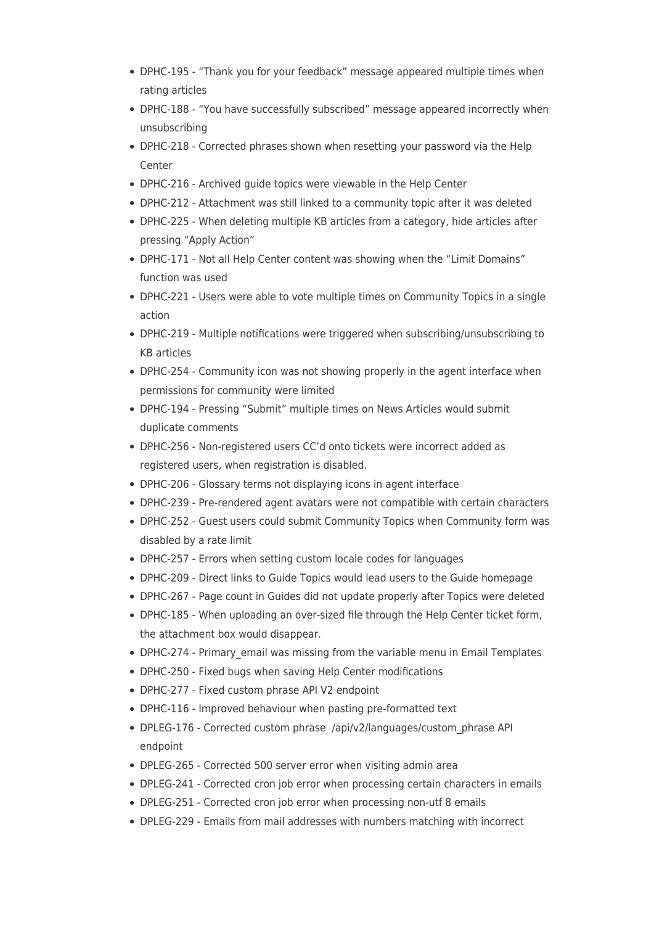- DPHC-195 "Thank you for your feedback" message appeared multiple times when rating articles
- DPHC-188 "You have successfully subscribed" message appeared incorrectly when unsubscribing
- DPHC-218 Corrected phrases shown when resetting your password via the Help Center
- DPHC-216 Archived guide topics were viewable in the Help Center
- DPHC-212 Attachment was still linked to a community topic after it was deleted
- DPHC-225 When deleting multiple KB articles from a category, hide articles after pressing "Apply Action"
- DPHC-171 Not all Help Center content was showing when the "Limit Domains" function was used
- DPHC-221 Users were able to vote multiple times on Community Topics in a single action
- DPHC-219 Multiple notifications were triggered when subscribing/unsubscribing to KB articles
- DPHC-254 Community icon was not showing properly in the agent interface when permissions for community were limited
- DPHC-194 Pressing "Submit" multiple times on News Articles would submit duplicate comments
- DPHC-256 Non-registered users CC'd onto tickets were incorrect added as registered users, when registration is disabled.
- DPHC-206 Glossary terms not displaying icons in agent interface
- DPHC-239 Pre-rendered agent avatars were not compatible with certain characters
- DPHC-252 Guest users could submit Community Topics when Community form was disabled by a rate limit
- DPHC-257 Errors when setting custom locale codes for languages
- DPHC-209 Direct links to Guide Topics would lead users to the Guide homepage
- DPHC-267 Page count in Guides did not update properly after Topics were deleted
- DPHC-185 When uploading an over-sized file through the Help Center ticket form, the attachment box would disappear.
- DPHC-274 Primary email was missing from the variable menu in Email Templates
- DPHC-250 Fixed bugs when saving Help Center modifications
- DPHC-277 Fixed custom phrase API V2 endpoint
- DPHC-116 Improved behaviour when pasting pre-formatted text
- DPLEG-176 Corrected custom phrase /api/v2/languages/custom\_phrase API endpoint
- DPLEG-265 Corrected 500 server error when visiting admin area
- DPLEG-241 Corrected cron job error when processing certain characters in emails
- DPLEG-251 Corrected cron job error when processing non-utf 8 emails
- DPLEG-229 Emails from mail addresses with numbers matching with incorrect